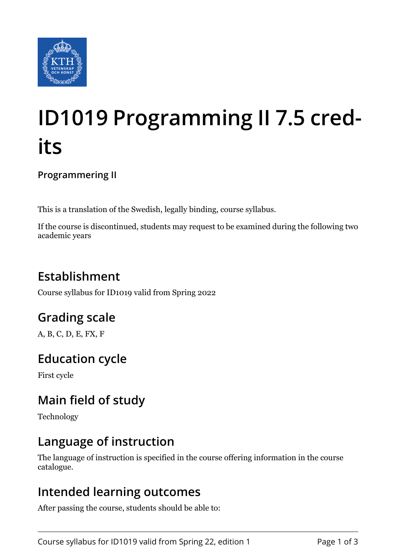

# **ID1019 Programming II 7.5 credits**

**Programmering II**

This is a translation of the Swedish, legally binding, course syllabus.

If the course is discontinued, students may request to be examined during the following two academic years

# **Establishment**

Course syllabus for ID1019 valid from Spring 2022

# **Grading scale**

A, B, C, D, E, FX, F

## **Education cycle**

First cycle

# **Main field of study**

Technology

## **Language of instruction**

The language of instruction is specified in the course offering information in the course catalogue.

#### **Intended learning outcomes**

After passing the course, students should be able to: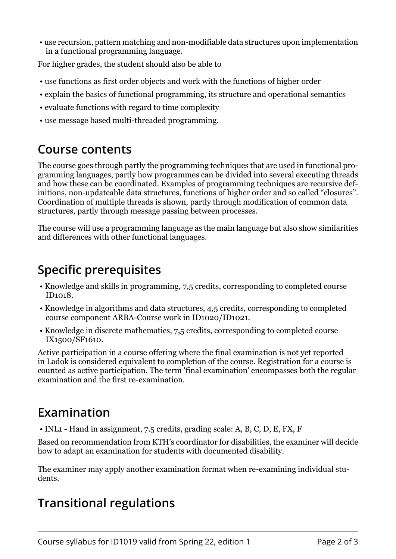• use recursion, pattern matching and non-modifiable data structures upon implementation in a functional programming language.

For higher grades, the student should also be able to

- use functions as first order objects and work with the functions of higher order
- explain the basics of functional programming, its structure and operational semantics
- evaluate functions with regard to time complexity
- use message based multi-threaded programming.

#### **Course contents**

The course goes through partly the programming techniques that are used in functional programming languages, partly how programmes can be divided into several executing threads and how these can be coordinated. Examples of programming techniques are recursive definitions, non-updateable data structures, functions of higher order and so called "closures". Coordination of multiple threads is shown, partly through modification of common data structures, partly through message passing between processes.

The course will use a programming language as the main language but also show similarities and differences with other functional languages.

## **Specific prerequisites**

- Knowledge and skills in programming, 7,5 credits, corresponding to completed course ID1018.
- Knowledge in algorithms and data structures, 4,5 credits, corresponding to completed course component ARBA-Course work in ID1020/ID1021.
- Knowledge in discrete mathematics, 7,5 credits, corresponding to completed course IX1500/SF1610.

Active participation in a course offering where the final examination is not yet reported in Ladok is considered equivalent to completion of the course. Registration for a course is counted as active participation. The term 'final examination' encompasses both the regular examination and the first re-examination.

#### **Examination**

• INL1 - Hand in assignment, 7.5 credits, grading scale: A, B, C, D, E, FX, F

Based on recommendation from KTH's coordinator for disabilities, the examiner will decide how to adapt an examination for students with documented disability.

The examiner may apply another examination format when re-examining individual students.

## **Transitional regulations**